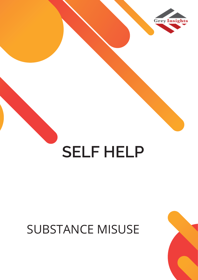

# **SELF HELP**

### SUBSTANCE MISUSE

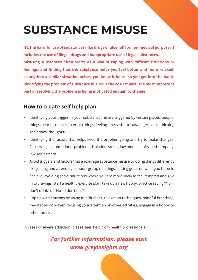## **SUBSTANC**

**It's the harmful use of substances (like includes the use of illegal drugs and in Misusing substances often starts as** feelings, and finding that the substa so anytime a similar situation arises, **Identifying the problem of substance part of resolving the problem is being** 

#### **How to create self help pla**

- Identifying your trigger: Is your subst things, hearing or seeing certain thing self-critical thoughts?
- Identifying the factors that helps ke Factors such as emotional problems, low self-esteem.
- Avoid triggers and factors that encourage substance missions and factors that

like joining and attending support group meetings, setting goals on what you hope to achieve, avoiding social situations where you are more likely to feel tempted and give in to cravings, start a healthy exercise plan, take up a new hobby, practice saying "No - I don't drink" or "No – I don't use"

• Coping with cravings by using mindfulness, relaxation techniques, mindful breathing, meditation or prayer, focusing your attention on other activities, engage in a hobby or other interests.

In cases of severe addiction, please seek help from health professionals.

### *For further information, please visit www.greyinsights.org*